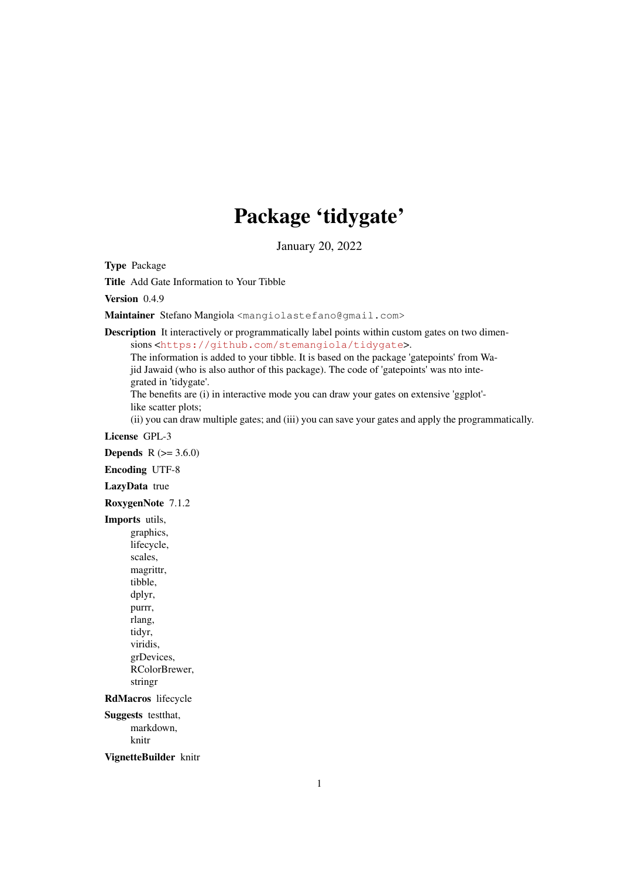## Package 'tidygate'

January 20, 2022

<span id="page-0-0"></span>Type Package

Title Add Gate Information to Your Tibble

Version 0.4.9

Maintainer Stefano Mangiola <mangiolastefano@gmail.com>

Description It interactively or programmatically label points within custom gates on two dimen-

sions <<https://github.com/stemangiola/tidygate>>.

The information is added to your tibble. It is based on the package 'gatepoints' from Wajid Jawaid (who is also author of this package). The code of 'gatepoints' was nto integrated in 'tidygate'.

The benefits are (i) in interactive mode you can draw your gates on extensive 'ggplot' like scatter plots;

(ii) you can draw multiple gates; and (iii) you can save your gates and apply the programmatically.

#### License GPL-3

**Depends**  $R (= 3.6.0)$ 

Encoding UTF-8

#### LazyData true

RoxygenNote 7.1.2

Imports utils, graphics,

lifecycle, scales, magrittr, tibble, dplyr, purrr, rlang, tidyr, viridis, grDevices, RColorBrewer, stringr

RdMacros lifecycle

Suggests testthat, markdown, knitr

VignetteBuilder knitr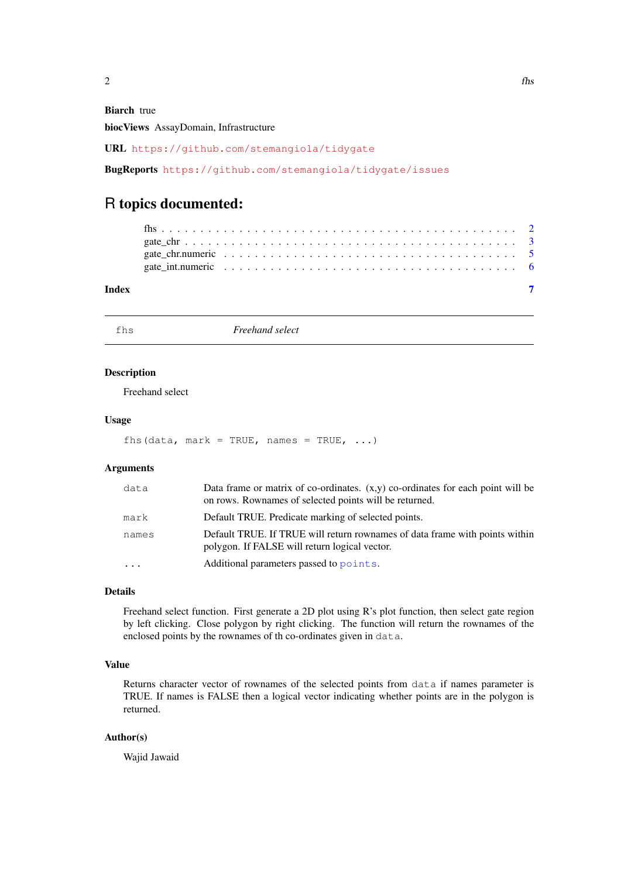<span id="page-1-0"></span>Biarch true

biocViews AssayDomain, Infrastructure

URL <https://github.com/stemangiola/tidygate>

BugReports <https://github.com/stemangiola/tidygate/issues>

### R topics documented:

| Index |  |  |  |  |  |  |  |  |  |  |  |  |  |  |  |  |  |
|-------|--|--|--|--|--|--|--|--|--|--|--|--|--|--|--|--|--|

fhs *Freehand select*

#### Description

Freehand select

#### Usage

fhs(data, mark = TRUE, names = TRUE,  $\ldots$ )

#### Arguments

| data  | Data frame or matrix of co-ordinates. $(x,y)$ co-ordinates for each point will be<br>on rows. Rownames of selected points will be returned. |
|-------|---------------------------------------------------------------------------------------------------------------------------------------------|
| mark  | Default TRUE. Predicate marking of selected points.                                                                                         |
| names | Default TRUE. If TRUE will return rownames of data frame with points within<br>polygon. If FALSE will return logical vector.                |
|       | Additional parameters passed to points.                                                                                                     |

#### Details

Freehand select function. First generate a 2D plot using R's plot function, then select gate region by left clicking. Close polygon by right clicking. The function will return the rownames of the enclosed points by the rownames of th co-ordinates given in data.

#### Value

Returns character vector of rownames of the selected points from data if names parameter is TRUE. If names is FALSE then a logical vector indicating whether points are in the polygon is returned.

#### Author(s)

Wajid Jawaid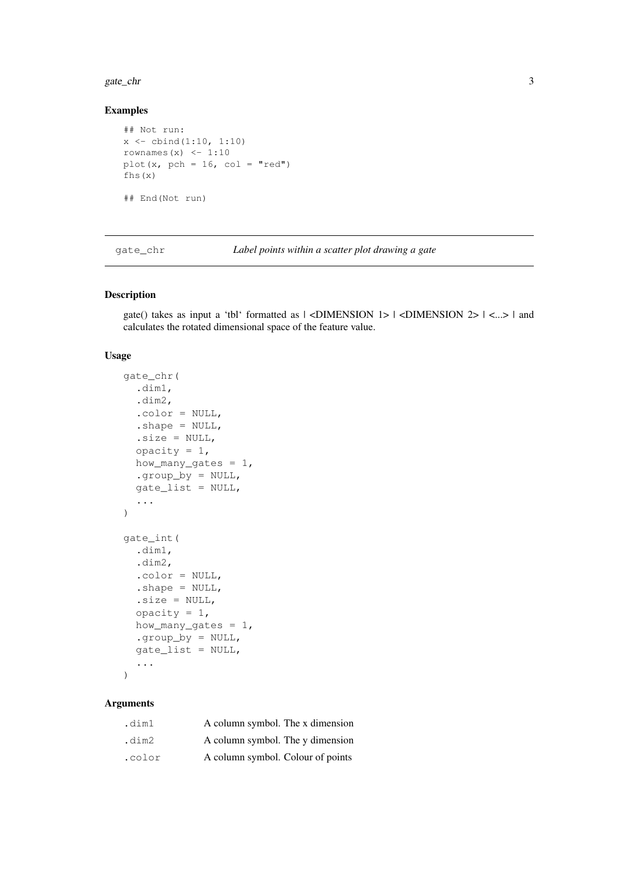#### <span id="page-2-0"></span>gate\_chr 3

#### Examples

```
## Not run:
x \leftarrow \text{cbind}(1:10, 1:10)rownames(x) <-1:10plot(x, pch = 16, col = "red")
fhs(x)
## End(Not run)
```
gate\_chr *Label points within a scatter plot drawing a gate*

#### Description

gate() takes as input a 'tbl' formatted as  $|$  <DIMENSION 1>  $|$  <DIMENSION 2>  $|$  <...>  $|$  and calculates the rotated dimensional space of the feature value.

#### Usage

```
gate_chr(
 .dim1,
  .dim2,
  .color = NULL,
  .shape = NULL,.size = NULL,opacity = 1,
 how_many_gates = 1,
  .group_by = NULL,
 gate_list = NULL,
  ...
)
gate_int(
  .dim1,
  .dim2,
  .color = NULL,
  .shape = NULL,.size = NULL,opacity = 1,how_many_gates = 1,
  .group_by = NULL,
  gate_list = NULL,
  ...
)
```
#### Arguments

| .dim1  | A column symbol. The x dimension  |
|--------|-----------------------------------|
| .dim2  | A column symbol. The y dimension  |
| .color | A column symbol. Colour of points |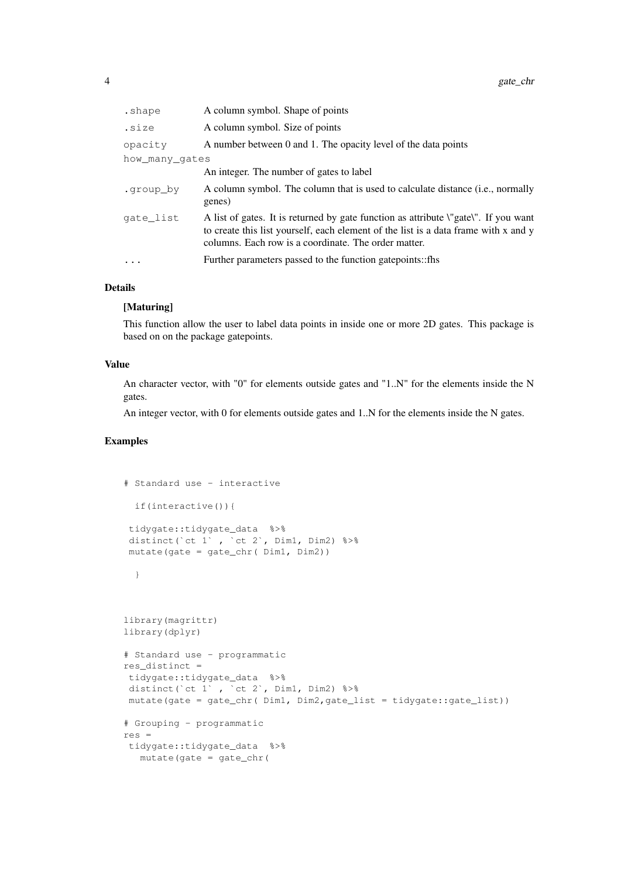| .shape         | A column symbol. Shape of points                                                                                                                                                                                                   |
|----------------|------------------------------------------------------------------------------------------------------------------------------------------------------------------------------------------------------------------------------------|
| .size          | A column symbol. Size of points                                                                                                                                                                                                    |
| opacity        | A number between 0 and 1. The opacity level of the data points                                                                                                                                                                     |
| how many gates |                                                                                                                                                                                                                                    |
|                | An integer. The number of gates to label                                                                                                                                                                                           |
| .group by      | A column symbol. The column that is used to calculate distance (i.e., normally<br>genes)                                                                                                                                           |
| gate list      | A list of gates. It is returned by gate function as attribute \"gate\". If you want<br>to create this list yourself, each element of the list is a data frame with x and y<br>columns. Each row is a coordinate. The order matter. |
| $\cdots$       | Further parameters passed to the function gate points::fhs                                                                                                                                                                         |
|                |                                                                                                                                                                                                                                    |

#### Details

#### [Maturing]

This function allow the user to label data points in inside one or more 2D gates. This package is based on on the package gatepoints.

#### Value

An character vector, with "0" for elements outside gates and "1..N" for the elements inside the N gates.

An integer vector, with 0 for elements outside gates and 1..N for the elements inside the N gates.

#### Examples

```
# Standard use - interactive
 if(interactive()){
tidygate::tidygate_data %>%
distinct(`ct 1` , `ct 2`, Dim1, Dim2) %>%
mutate(gate = gate_chr( Dim1, Dim2))
 }
library(magrittr)
library(dplyr)
# Standard use - programmatic
res_distinct =
tidygate::tidygate_data %>%
distinct(`ct 1', `ct 2', Dim1, Dim2) %>%
mutate(gate = gate_chr( Dim1, Dim2,gate_list = tidygate::gate_list))
# Grouping - programmatic
res =
tidygate::tidygate_data %>%
  mutate(gate = gate_chr(
```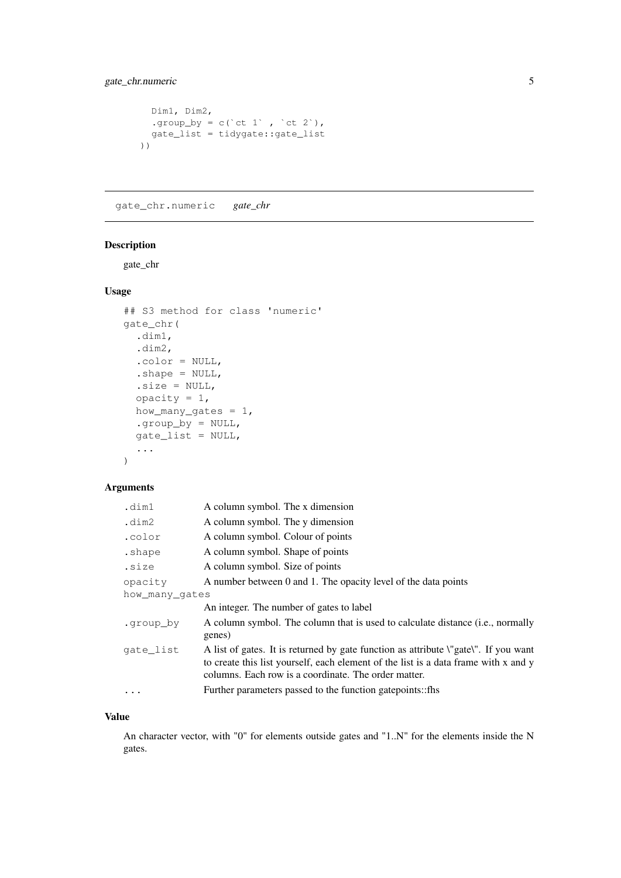#### <span id="page-4-0"></span>gate\_chr.numeric 5

```
Dim1, Dim2,
 .group_by = c(`ct 1`, `ct 2`),
 gate_list = tidygate::gate_list
))
```
gate\_chr.numeric *gate\_chr*

#### Description

gate\_chr

#### Usage

```
## S3 method for class 'numeric'
gate_chr(
 .dim1,
 .dim2,
  .color = NULL,
  .shape = NULL,.size = NULL,opacity = 1,
 how_many_gates = 1,
  .group_by = NULL,gate_list = NULL,
  ...
)
```
#### Arguments

| .dim1          | A column symbol. The x dimension                                                                                                                                                                                                                    |
|----------------|-----------------------------------------------------------------------------------------------------------------------------------------------------------------------------------------------------------------------------------------------------|
| .dim2          | A column symbol. The y dimension                                                                                                                                                                                                                    |
| .color         | A column symbol. Colour of points                                                                                                                                                                                                                   |
| .shape         | A column symbol. Shape of points                                                                                                                                                                                                                    |
| .size          | A column symbol. Size of points                                                                                                                                                                                                                     |
| opacity        | A number between 0 and 1. The opacity level of the data points                                                                                                                                                                                      |
| how many gates |                                                                                                                                                                                                                                                     |
|                | An integer. The number of gates to label                                                                                                                                                                                                            |
| .group by      | A column symbol. The column that is used to calculate distance (i.e., normally<br>genes)                                                                                                                                                            |
| qate list      | A list of gates. It is returned by gate function as attribute <i>\</i> "gate <i>\</i> ". If you want<br>to create this list yourself, each element of the list is a data frame with x and y<br>columns. Each row is a coordinate. The order matter. |
| $\ddots$ .     | Further parameters passed to the function gate points:: fhs                                                                                                                                                                                         |
|                |                                                                                                                                                                                                                                                     |

#### Value

An character vector, with "0" for elements outside gates and "1..N" for the elements inside the N gates.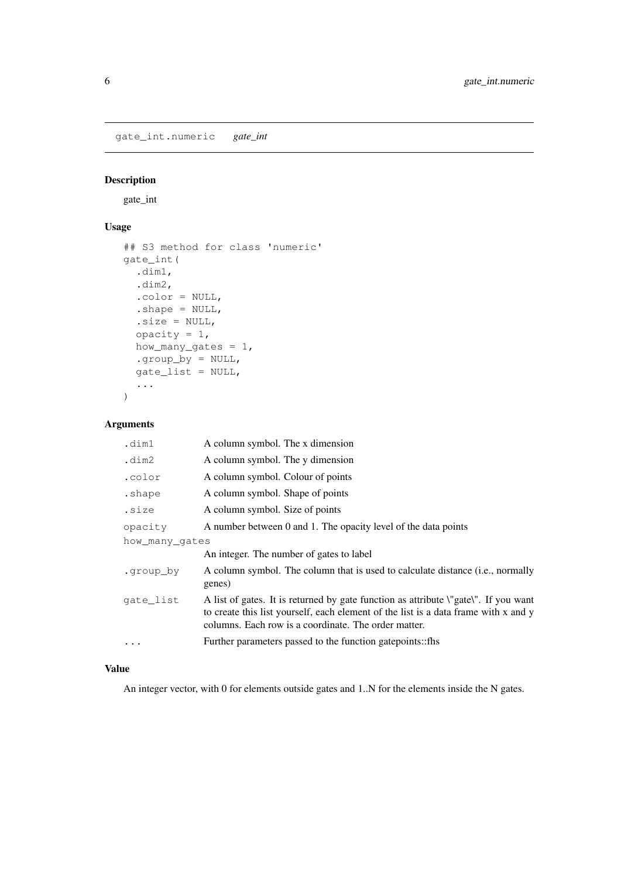<span id="page-5-0"></span>gate\_int.numeric *gate\_int*

#### Description

gate\_int

#### Usage

```
## S3 method for class 'numeric'
gate_int(
  .dim1,
  .dim2,
  .color = NULL,
  .shape = NULL,
  .size = NULL,opacity = 1,
  how_many_gates = 1,
  .group_by = NULL,
  gate list = NULL,...
)
```
#### Arguments

| .dim1          | A column symbol. The x dimension                                                                                                                                                                                                                    |
|----------------|-----------------------------------------------------------------------------------------------------------------------------------------------------------------------------------------------------------------------------------------------------|
| .dim2          | A column symbol. The y dimension                                                                                                                                                                                                                    |
| .color         | A column symbol. Colour of points                                                                                                                                                                                                                   |
| .shape         | A column symbol. Shape of points                                                                                                                                                                                                                    |
| .size          | A column symbol. Size of points                                                                                                                                                                                                                     |
| opacity        | A number between 0 and 1. The opacity level of the data points                                                                                                                                                                                      |
| how many gates |                                                                                                                                                                                                                                                     |
|                | An integer. The number of gates to label                                                                                                                                                                                                            |
| .group by      | A column symbol. The column that is used to calculate distance (i.e., normally<br>genes)                                                                                                                                                            |
| gate list      | A list of gates. It is returned by gate function as attribute <i>\</i> "gate <i>\</i> ". If you want<br>to create this list yourself, each element of the list is a data frame with x and y<br>columns. Each row is a coordinate. The order matter. |
|                | Further parameters passed to the function gatepoints::fhs                                                                                                                                                                                           |
|                |                                                                                                                                                                                                                                                     |

#### Value

An integer vector, with 0 for elements outside gates and 1..N for the elements inside the N gates.